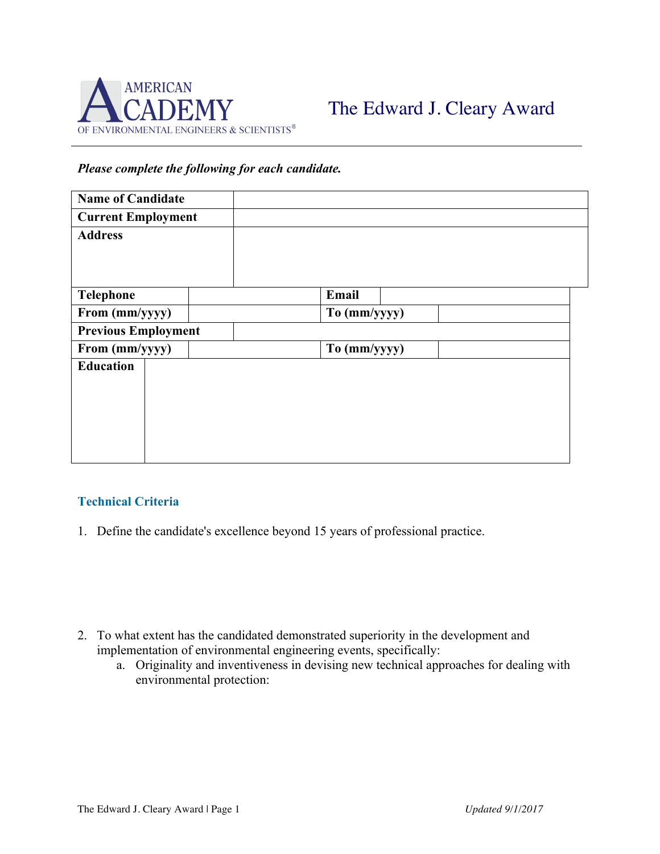

## *Please complete the following for each candidate.*

| <b>Name of Candidate</b>   |  |              |
|----------------------------|--|--------------|
| <b>Current Employment</b>  |  |              |
| <b>Address</b>             |  |              |
|                            |  |              |
|                            |  |              |
| <b>Telephone</b>           |  | Email        |
| From (mm/yyyy)             |  | To (mm/yyyy) |
| <b>Previous Employment</b> |  |              |
| From (mm/yyyy)             |  | To (mm/yyyy) |
| <b>Education</b>           |  |              |
|                            |  |              |
|                            |  |              |
|                            |  |              |
|                            |  |              |
|                            |  |              |

## **Technical Criteria**

1. Define the candidate's excellence beyond 15 years of professional practice.

- 2. To what extent has the candidated demonstrated superiority in the development and implementation of environmental engineering events, specifically:
	- a. Originality and inventiveness in devising new technical approaches for dealing with environmental protection: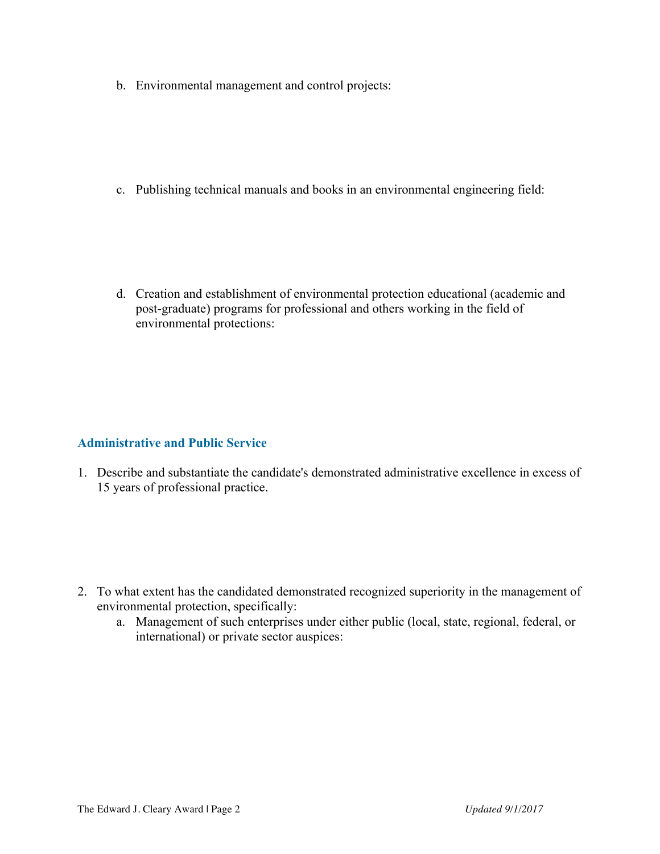b. Environmental management and control projects:

c. Publishing technical manuals and books in an environmental engineering field:

d. Creation and establishment of environmental protection educational (academic and post-graduate) programs for professional and others working in the field of environmental protections:

## **Administrative and Public Service**

1. Describe and substantiate the candidate's demonstrated administrative excellence in excess of 15 years of professional practice.

- 2. To what extent has the candidated demonstrated recognized superiority in the management of environmental protection, specifically:
	- a. Management of such enterprises under either public (local, state, regional, federal, or international) or private sector auspices: